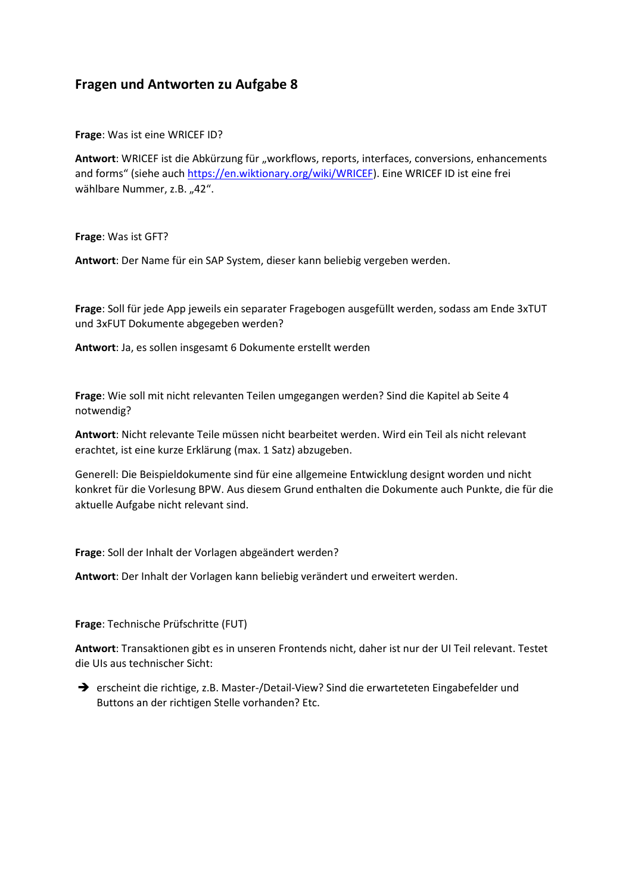## **Fragen und Antworten zu Aufgabe 8**

**Frage**: Was ist eine WRICEF ID?

Antwort: WRICEF ist die Abkürzung für "workflows, reports, interfaces, conversions, enhancements and forms" (siehe auch [https://en.wiktionary.org/wiki/WRICEF\)](https://en.wiktionary.org/wiki/WRICEF). Eine WRICEF ID ist eine frei wählbare Nummer, z.B. "42".

**Frage**: Was ist GFT?

**Antwort**: Der Name für ein SAP System, dieser kann beliebig vergeben werden.

**Frage**: Soll für jede App jeweils ein separater Fragebogen ausgefüllt werden, sodass am Ende 3xTUT und 3xFUT Dokumente abgegeben werden?

**Antwort**: Ja, es sollen insgesamt 6 Dokumente erstellt werden

**Frage**: Wie soll mit nicht relevanten Teilen umgegangen werden? Sind die Kapitel ab Seite 4 notwendig?

**Antwort**: Nicht relevante Teile müssen nicht bearbeitet werden. Wird ein Teil als nicht relevant erachtet, ist eine kurze Erklärung (max. 1 Satz) abzugeben.

Generell: Die Beispieldokumente sind für eine allgemeine Entwicklung designt worden und nicht konkret für die Vorlesung BPW. Aus diesem Grund enthalten die Dokumente auch Punkte, die für die aktuelle Aufgabe nicht relevant sind.

**Frage**: Soll der Inhalt der Vorlagen abgeändert werden?

**Antwort**: Der Inhalt der Vorlagen kann beliebig verändert und erweitert werden.

**Frage**: Technische Prüfschritte (FUT)

**Antwort**: Transaktionen gibt es in unseren Frontends nicht, daher ist nur der UI Teil relevant. Testet die UIs aus technischer Sicht:

➔ erscheint die richtige, z.B. Master-/Detail-View? Sind die erwarteteten Eingabefelder und Buttons an der richtigen Stelle vorhanden? Etc.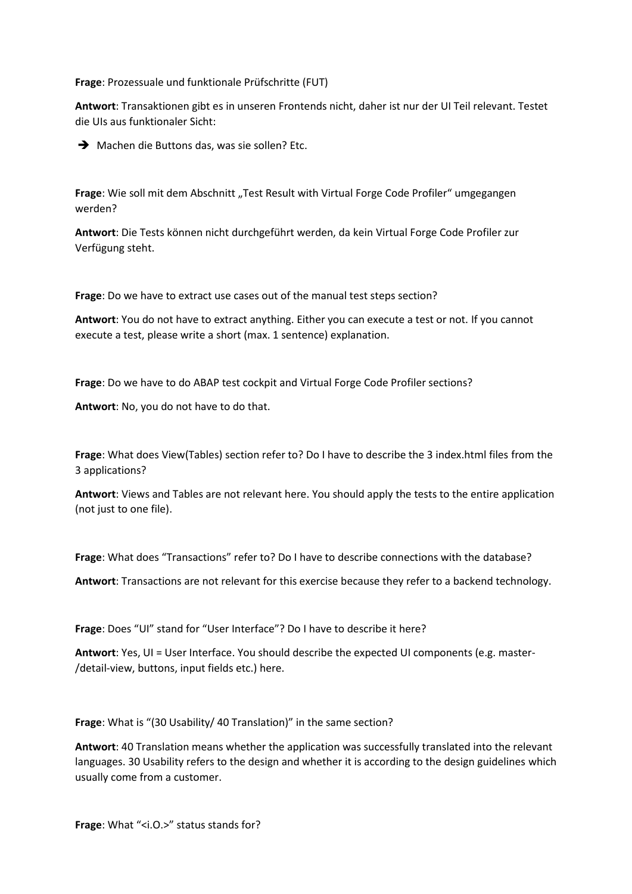**Frage**: Prozessuale und funktionale Prüfschritte (FUT)

**Antwort**: Transaktionen gibt es in unseren Frontends nicht, daher ist nur der UI Teil relevant. Testet die UIs aus funktionaler Sicht:

➔ Machen die Buttons das, was sie sollen? Etc.

**Frage:** Wie soll mit dem Abschnitt "Test Result with Virtual Forge Code Profiler" umgegangen werden?

**Antwort**: Die Tests können nicht durchgeführt werden, da kein Virtual Forge Code Profiler zur Verfügung steht.

**Frage**: Do we have to extract use cases out of the manual test steps section?

**Antwort**: You do not have to extract anything. Either you can execute a test or not. If you cannot execute a test, please write a short (max. 1 sentence) explanation.

**Frage**: Do we have to do ABAP test cockpit and Virtual Forge Code Profiler sections?

**Antwort**: No, you do not have to do that.

**Frage**: What does View(Tables) section refer to? Do I have to describe the 3 index.html files from the 3 applications?

**Antwort**: Views and Tables are not relevant here. You should apply the tests to the entire application (not just to one file).

**Frage**: What does "Transactions" refer to? Do I have to describe connections with the database?

**Antwort**: Transactions are not relevant for this exercise because they refer to a backend technology.

**Frage**: Does "UI" stand for "User Interface"? Do I have to describe it here?

**Antwort**: Yes, UI = User Interface. You should describe the expected UI components (e.g. master- /detail-view, buttons, input fields etc.) here.

**Frage**: What is "(30 Usability/ 40 Translation)" in the same section?

**Antwort**: 40 Translation means whether the application was successfully translated into the relevant languages. 30 Usability refers to the design and whether it is according to the design guidelines which usually come from a customer.

Frage: What "<i.O.>" status stands for?